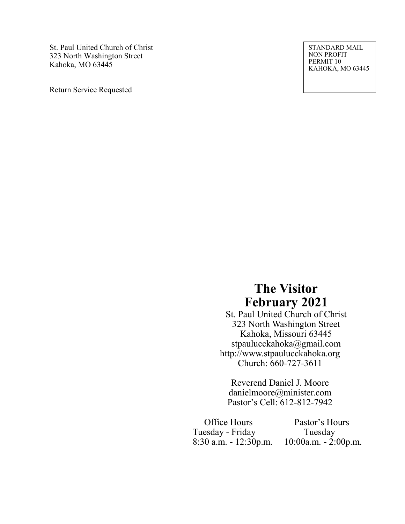St. Paul United Church of Christ 323 North Washington Street Kahoka, MO 63445

Return Service Requested

STANDARD MAIL NON PROFIT PERMIT 10 KAHOKA, MO 63445

# **The Visitor February 2021**

St. Paul United Church of Christ 323 North Washington Street Kahoka, Missouri 63445 stpaulucckahoka@gmail.com http://www.stpaulucckahoka.org Church: 660-727-3611

Reverend Daniel J. Moore danielmoore@minister.com Pastor's Cell: 612-812-7942

 Office Hours Pastor's Hours Tuesday - Friday Tuesday<br>8:30 a.m. - 12:30p.m. 10:00a.m. - 2:

10:00a.m. - 2:00p.m.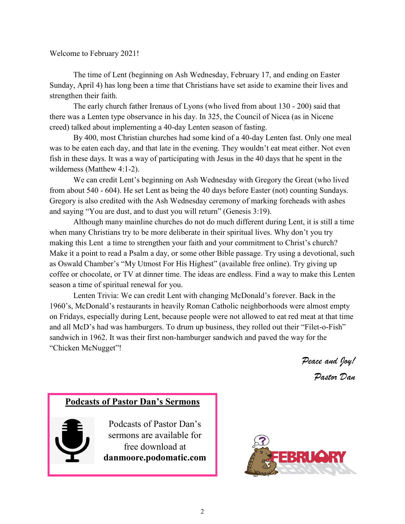#### Welcome to February 2021!

The time of Lent (beginning on Ash Wednesday, February 17, and ending on Easter Sunday, April 4) has long been a time that Christians have set aside to examine their lives and strengthen their faith.

The early church father Irenaus of Lyons (who lived from about 130 - 200) said that there was a Lenten type observance in his day. In 325, the Council of Nicea (as in Nicene creed) talked about implementing a 40-day Lenten season of fasting.

By 400, most Christian churches had some kind of a 40-day Lenten fast. Only one meal was to be eaten each day, and that late in the evening. They wouldn't eat meat either. Not even fish in these days. It was a way of participating with Jesus in the 40 days that he spent in the wilderness (Matthew 4:1-2).

We can credit Lent's beginning on Ash Wednesday with Gregory the Great (who lived from about 540 - 604). He set Lent as being the 40 days before Easter (not) counting Sundays. Gregory is also credited with the Ash Wednesday ceremony of marking foreheads with ashes and saying "You are dust, and to dust you will return" (Genesis 3:19).

Although many mainline churches do not do much different during Lent, it is still a time when many Christians try to be more deliberate in their spiritual lives. Why don't you try making this Lent a time to strengthen your faith and your commitment to Christ's church? Make it a point to read a Psalm a day, or some other Bible passage. Try using a devotional, such as Oswald Chamber's "My Utmost For His Highest" (available free online). Try giving up coffee or chocolate, or TV at dinner time. The ideas are endless. Find a way to make this Lenten season a time of spiritual renewal for you.

Lenten Trivia: We can credit Lent with changing McDonald's forever. Back in the 1960's, McDonald's restaurants in heavily Roman Catholic neighborhoods were almost empty on Fridays, especially during Lent, because people were not allowed to eat red meat at that time and all McD's had was hamburgers. To drum up business, they rolled out their "Filet-o-Fish" sandwich in 1962. It was their first non-hamburger sandwich and paved the way for the "Chicken McNugget"!

*Peace and Joy!* 

*Pastor Dan*

# **Podcasts of Pastor Dan's Sermons**

Podcasts of Pastor Dan's sermons are available for free download at **danmoore.podomatic.com**

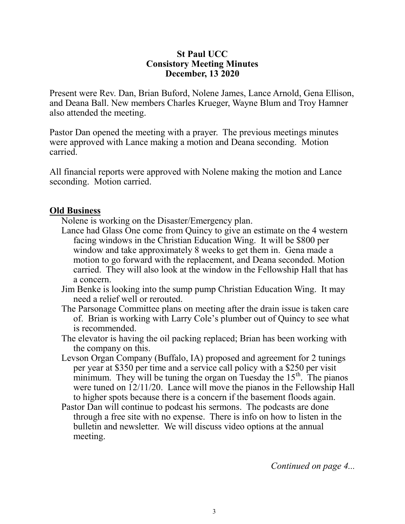### **St Paul UCC Consistory Meeting Minutes December, 13 2020**

Present were Rev. Dan, Brian Buford, Nolene James, Lance Arnold, Gena Ellison, and Deana Ball. New members Charles Krueger, Wayne Blum and Troy Hamner also attended the meeting.

Pastor Dan opened the meeting with a prayer. The previous meetings minutes were approved with Lance making a motion and Deana seconding. Motion carried.

All financial reports were approved with Nolene making the motion and Lance seconding. Motion carried.

## **Old Business**

Nolene is working on the Disaster/Emergency plan.

- Lance had Glass One come from Quincy to give an estimate on the 4 western facing windows in the Christian Education Wing. It will be \$800 per window and take approximately 8 weeks to get them in. Gena made a motion to go forward with the replacement, and Deana seconded. Motion carried. They will also look at the window in the Fellowship Hall that has a concern.
- Jim Benke is looking into the sump pump Christian Education Wing. It may need a relief well or rerouted.
- The Parsonage Committee plans on meeting after the drain issue is taken care of. Brian is working with Larry Cole's plumber out of Quincy to see what is recommended.
- The elevator is having the oil packing replaced; Brian has been working with the company on this.
- Levson Organ Company (Buffalo, IA) proposed and agreement for 2 tunings per year at \$350 per time and a service call policy with a \$250 per visit minimum. They will be tuning the organ on Tuesday the  $15<sup>th</sup>$ . The pianos were tuned on 12/11/20. Lance will move the pianos in the Fellowship Hall to higher spots because there is a concern if the basement floods again.
- Pastor Dan will continue to podcast his sermons. The podcasts are done through a free site with no expense. There is info on how to listen in the bulletin and newsletter. We will discuss video options at the annual meeting.

*Continued on page 4...*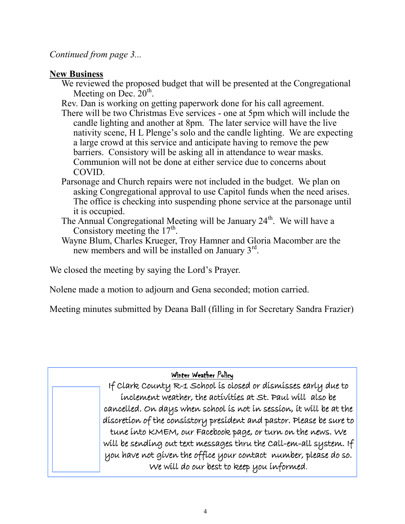# *Continued from page 3...*

# **New Business**

- We reviewed the proposed budget that will be presented at the Congregational Meeting on Dec.  $20^{\text{th}}$ .
- Rev. Dan is working on getting paperwork done for his call agreement.
- There will be two Christmas Eve services one at 5pm which will include the candle lighting and another at 8pm. The later service will have the live nativity scene, H L Plenge's solo and the candle lighting. We are expecting a large crowd at this service and anticipate having to remove the pew barriers. Consistory will be asking all in attendance to wear masks. Communion will not be done at either service due to concerns about COVID.
- Parsonage and Church repairs were not included in the budget. We plan on asking Congregational approval to use Capitol funds when the need arises. The office is checking into suspending phone service at the parsonage until it is occupied.
- The Annual Congregational Meeting will be January  $24<sup>th</sup>$ . We will have a Consistory meeting the  $17<sup>th</sup>$ .
- Wayne Blum, Charles Krueger, Troy Hamner and Gloria Macomber are the new members and will be installed on January  $3^{rd}$ .

We closed the meeting by saying the Lord's Prayer.

Nolene made a motion to adjourn and Gena seconded; motion carried.

Meeting minutes submitted by Deana Ball (filling in for Secretary Sandra Frazier)

# Winter Weather Policy

If Clark County R-1 School is closed or dismisses early due to inclement weather, the activities at St. Paul will also be cancelled. On days when school is not in session, it will be at the discretion of the consistory president and pastor. Please be sure to tune into KMEM, our Facebook page, or turn on the news. We will be sending out text messages thru the Call-em-all system. If you have not given the office your contact number, please do so. We will do our best to keep you informed.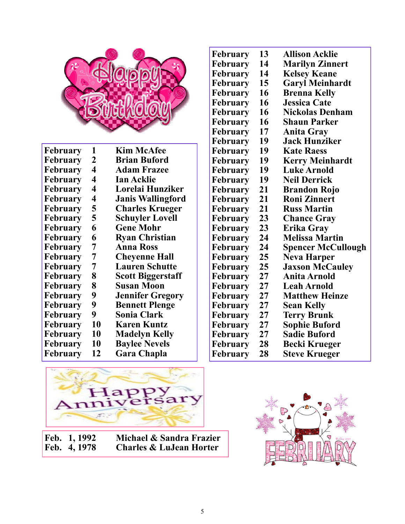

| February        | 1  | <b>Kim McAfee</b>        |
|-----------------|----|--------------------------|
| <b>February</b> | 2  | <b>Brian Buford</b>      |
| <b>February</b> | 4  | <b>Adam Frazee</b>       |
| February        | 4  | <b>Ian Acklie</b>        |
| February        | 4  | Lorelai Hunziker         |
| <b>February</b> | 4  | <b>Janis Wallingford</b> |
| February        | 5  | <b>Charles Krueger</b>   |
| February        | 5  | <b>Schuyler Lovell</b>   |
| <b>February</b> | 6  | <b>Gene Mohr</b>         |
| February        | 6  | <b>Ryan Christian</b>    |
| February        | 7  | <b>Anna Ross</b>         |
| February        | 7  | <b>Cheyenne Hall</b>     |
| February        | 7  | <b>Lauren Schutte</b>    |
| February        | 8  | <b>Scott Biggerstaff</b> |
| February        | 8  | <b>Susan Moon</b>        |
| <b>February</b> | 9  | <b>Jennifer Gregory</b>  |
| <b>February</b> | 9  | <b>Bennett Plenge</b>    |
| <b>February</b> | 9  | <b>Sonia Clark</b>       |
| February        | 10 | <b>Karen Kuntz</b>       |
| <b>February</b> | 10 | <b>Madelyn Kelly</b>     |
| February        | 10 | <b>Baylee Nevels</b>     |
| February        | 12 | <b>Gara Chapla</b>       |

| February | 13 | <b>Allison Acklie</b>     |
|----------|----|---------------------------|
| February | 14 | <b>Marilyn Zinnert</b>    |
| February | 14 | <b>Kelsey Keane</b>       |
|          | 15 |                           |
| February | 16 | <b>Garyl Meinhardt</b>    |
| February |    | <b>Brenna Kelly</b>       |
| February | 16 | <b>Jessica Cate</b>       |
| February | 16 | <b>Nickolas Denham</b>    |
| February | 16 | <b>Shaun Parker</b>       |
| February | 17 | <b>Anita Gray</b>         |
| February | 19 | Jack Hunziker             |
| February | 19 | <b>Kate Raess</b>         |
| February | 19 | <b>Kerry Meinhardt</b>    |
| February | 19 | <b>Luke Arnold</b>        |
| February | 19 | <b>Neil Derrick</b>       |
| February | 21 | <b>Brandon Rojo</b>       |
| February | 21 | <b>Roni Zinnert</b>       |
| February | 21 | <b>Russ Martin</b>        |
| February | 23 | <b>Chance Gray</b>        |
| February | 23 | Erika Gray                |
| February | 24 | <b>Melissa Martin</b>     |
| February | 24 | <b>Spencer McCullough</b> |
| February | 25 | <b>Neva Harper</b>        |
| February | 25 | <b>Jaxson McCauley</b>    |
| February | 27 | Anita Arnold              |
| February | 27 | Leah Arnold               |
| February | 27 | <b>Matthew Heinze</b>     |
| February | 27 | Sean Kelly                |
| February | 27 | Terry Brunk               |
| February | 27 | <b>Sophie Buford</b>      |
| February | 27 | Sadie Buford              |
| February | 28 | <b>Becki Krueger</b>      |
| February | 28 | <b>Steve Krueger</b>      |



**Feb. 1, 1992 Michael & Sandra Frazier Feb. 4, 1978 Charles & LuJean Horter**

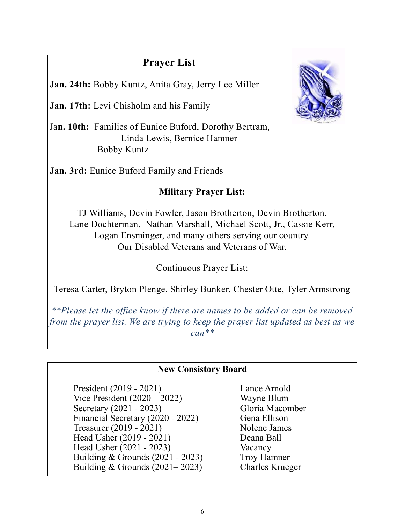# **Prayer List**

**Jan. 24th:** Bobby Kuntz, Anita Gray, Jerry Lee Miller

**Jan. 17th:** Levi Chisholm and his Family

Ja**n. 10th:** Families of Eunice Buford, Dorothy Bertram, Linda Lewis, Bernice Hamner Bobby Kuntz

**Jan. 3rd:** Eunice Buford Family and Friends

# **Military Prayer List:**

TJ Williams, Devin Fowler, Jason Brotherton, Devin Brotherton, Lane Dochterman, Nathan Marshall, Michael Scott, Jr., Cassie Kerr, Logan Ensminger, and many others serving our country. Our Disabled Veterans and Veterans of War.

Continuous Prayer List:

Teresa Carter, Bryton Plenge, Shirley Bunker, Chester Otte, Tyler Armstrong

*\*\*Please let the office know if there are names to be added or can be removed from the prayer list. We are trying to keep the prayer list updated as best as we can\*\**

# **New Consistory Board**

President (2019 - 2021) Lance Arnold Vice President (2020 – 2022) Wayne Blum Secretary (2021 - 2023) Gloria Macomber Financial Secretary (2020 - 2022) Gena Ellison Treasurer (2019 - 2021) Nolene James Head Usher (2019 - 2021) Deana Ball Head Usher (2021 - 2023) Vacancy Building & Grounds (2021 - 2023) Troy Hamner Building & Grounds (2021– 2023) Charles Krueger

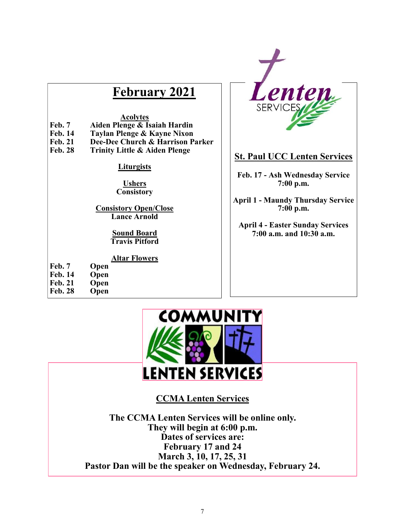# **February 2021**

#### **Acolytes**

- **Feb. 7 Aiden Plenge & Isaiah Hardin**
- **Feb. 14 Taylan Plenge & Kayne Nixon**
- **Feb. 21 Dee-Dee Church & Harrison Parker** 
	- **Trinity Little & Aiden Plenge**

#### **Liturgists**

#### **Ushers Consistory**

**Consistory Open/Close Lance Arnold**

> **Sound Board Travis Pitford**

#### **Altar Flowers**

# **Feb. 7 Open**

- 
- **Feb. 14 Open**
- Feb. 21 Open<br>Feb. 28 Open **Feb. 28**



# **St. Paul UCC Lenten Services**

**Feb. 17 - Ash Wednesday Service 7:00 p.m.**

**April 1 - Maundy Thursday Service 7:00 p.m.**

**April 4 - Easter Sunday Services 7:00 a.m. and 10:30 a.m.**

# COMMUNI LENTEN SERVICES

# **CCMA Lenten Services**

**The CCMA Lenten Services will be online only. They will begin at 6:00 p.m. Dates of services are: February 17 and 24 March 3, 10, 17, 25, 31 Pastor Dan will be the speaker on Wednesday, February 24.**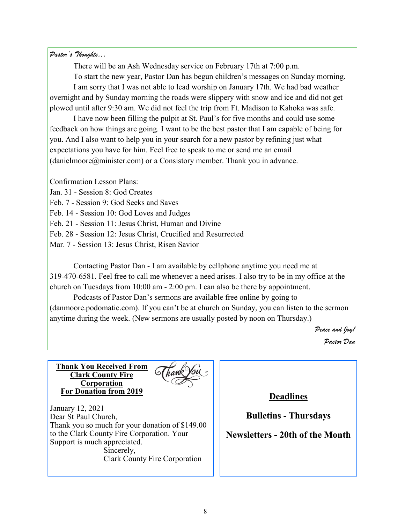#### *Pastor's Thoughts…*

There will be an Ash Wednesday service on February 17th at 7:00 p.m.

To start the new year, Pastor Dan has begun children's messages on Sunday morning. I am sorry that I was not able to lead worship on January 17th. We had bad weather overnight and by Sunday morning the roads were slippery with snow and ice and did not get plowed until after 9:30 am. We did not feel the trip from Ft. Madison to Kahoka was safe.

I have now been filling the pulpit at St. Paul's for five months and could use some feedback on how things are going. I want to be the best pastor that I am capable of being for you. And I also want to help you in your search for a new pastor by refining just what expectations you have for him. Feel free to speak to me or send me an email (danielmoore@minister.com) or a Consistory member. Thank you in advance.

Confirmation Lesson Plans:

Jan. 31 - Session 8: God Creates

Feb. 7 - Session 9: God Seeks and Saves

Feb. 14 - Session 10: God Loves and Judges

Feb. 21 - Session 11: Jesus Christ, Human and Divine

Feb. 28 - Session 12: Jesus Christ, Crucified and Resurrected

Mar. 7 - Session 13: Jesus Christ, Risen Savior

Contacting Pastor Dan - I am available by cellphone anytime you need me at 319-470-6581. Feel free to call me whenever a need arises. I also try to be in my office at the church on Tuesdays from 10:00 am - 2:00 pm. I can also be there by appointment.

Podcasts of Pastor Dan's sermons are available free online by going to (danmoore.podomatic.com). If you can't be at church on Sunday, you can listen to the sermon anytime during the week. (New sermons are usually posted by noon on Thursday.)

> *Peace and Joy! Pastor Dan*

**Thank You Received From Clark County Fire Corporation For Donation from 2019**



January 12, 2021 Dear St Paul Church, Thank you so much for your donation of \$149.00 to the Clark County Fire Corporation. Your Support is much appreciated. Sincerely, Clark County Fire Corporation

**Deadlines**

**Bulletins - Thursdays**

## **Newsletters - 20th of the Month**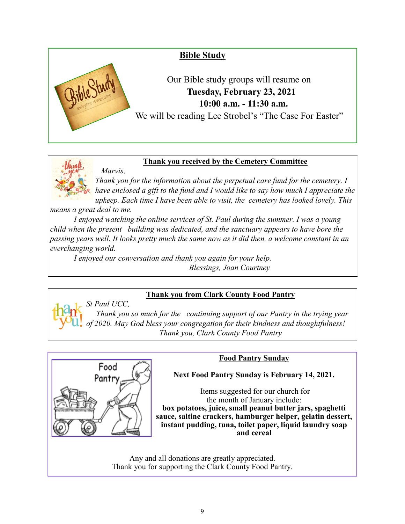

## **Thank you received by the Cemetery Committee**

*Thank you for the information about the perpetual care fund for the cemetery. I* have enclosed a gift to the fund and I would like to say how much I appreciate the *upkeep. Each time I have been able to visit, the cemetery has looked lovely. This* 

*means a great deal to me.*

 *Marvis,*

*I enjoyed watching the online services of St. Paul during the summer. I was a young child when the present building was dedicated, and the sanctuary appears to have bore the passing years well. It looks pretty much the same now as it did then, a welcome constant in an everchanging world.*

*I enjoyed our conversation and thank you again for your help. Blessings, Joan Courtney*

# **Thank you from Clark County Food Pantry**

*St Paul UCC, Thank you so much for the continuing support of our Pantry in the trying year of 2020. May God bless your congregation for their kindness and thoughtfulness! Thank you, Clark County Food Pantry*



# **Food Pantry Sunday**

**Next Food Pantry Sunday is February 14, 2021.** 

Items suggested for our church for the month of January include: **box potatoes, juice, small peanut butter jars, spaghetti sauce, saltine crackers, hamburger helper, gelatin dessert, instant pudding, tuna, toilet paper, liquid laundry soap and cereal**

Any and all donations are greatly appreciated. Thank you for supporting the Clark County Food Pantry.